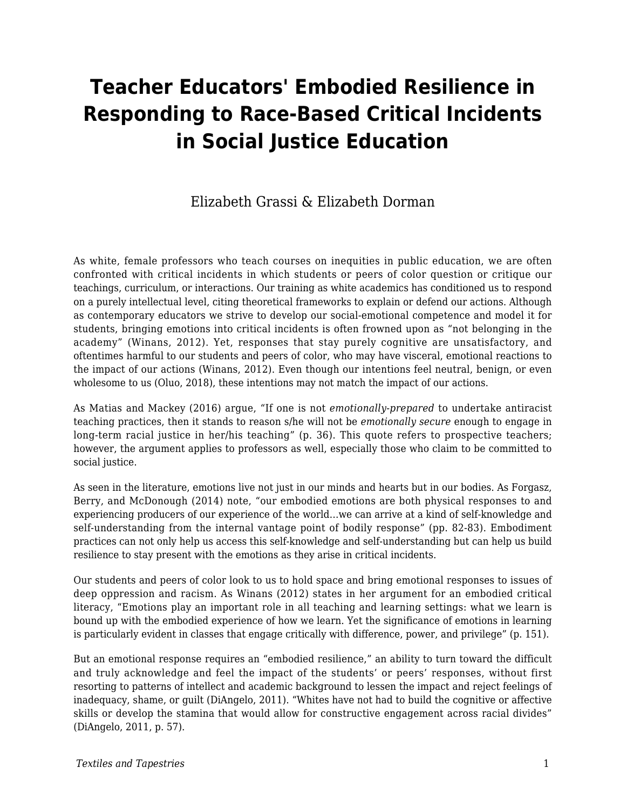# **Teacher Educators' Embodied Resilience in Responding to Race-Based Critical Incidents in Social Justice Education**

### Elizabeth Grassi & Elizabeth Dorman

As white, female professors who teach courses on inequities in public education, we are often confronted with critical incidents in which students or peers of color question or critique our teachings, curriculum, or interactions. Our training as white academics has conditioned us to respond on a purely intellectual level, citing theoretical frameworks to explain or defend our actions. Although as contemporary educators we strive to develop our social-emotional competence and model it for students, bringing emotions into critical incidents is often frowned upon as "not belonging in the academy" (Winans, 2012). Yet, responses that stay purely cognitive are unsatisfactory, and oftentimes harmful to our students and peers of color, who may have visceral, emotional reactions to the impact of our actions (Winans, 2012). Even though our intentions feel neutral, benign, or even wholesome to us (Oluo, 2018), these intentions may not match the impact of our actions.

As Matias and Mackey (2016) argue, "If one is not *emotionally-prepared* to undertake antiracist teaching practices, then it stands to reason s/he will not be *emotionally secure* enough to engage in long-term racial justice in her/his teaching" (p. 36). This quote refers to prospective teachers; however, the argument applies to professors as well, especially those who claim to be committed to social justice.

As seen in the literature, emotions live not just in our minds and hearts but in our bodies. As Forgasz, Berry, and McDonough (2014) note, "our embodied emotions are both physical responses to and experiencing producers of our experience of the world…we can arrive at a kind of self-knowledge and self-understanding from the internal vantage point of bodily response" (pp. 82-83). Embodiment practices can not only help us access this self-knowledge and self-understanding but can help us build resilience to stay present with the emotions as they arise in critical incidents.

Our students and peers of color look to us to hold space and bring emotional responses to issues of deep oppression and racism. As Winans (2012) states in her argument for an embodied critical literacy, "Emotions play an important role in all teaching and learning settings: what we learn is bound up with the embodied experience of how we learn. Yet the significance of emotions in learning is particularly evident in classes that engage critically with difference, power, and privilege" (p. 151).

But an emotional response requires an "embodied resilience," an ability to turn toward the difficult and truly acknowledge and feel the impact of the students' or peers' responses, without first resorting to patterns of intellect and academic background to lessen the impact and reject feelings of inadequacy, shame, or guilt (DiAngelo, 2011). "Whites have not had to build the cognitive or affective skills or develop the stamina that would allow for constructive engagement across racial divides" (DiAngelo, 2011, p. 57).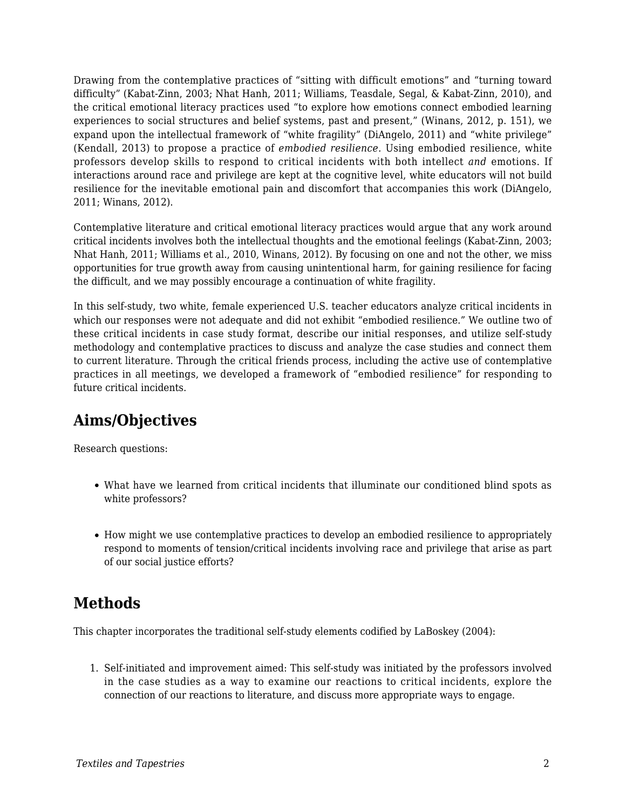Drawing from the contemplative practices of "sitting with difficult emotions" and "turning toward difficulty" (Kabat-Zinn, 2003; Nhat Hanh, 2011; Williams, Teasdale, Segal, & Kabat-Zinn, 2010), and the critical emotional literacy practices used "to explore how emotions connect embodied learning experiences to social structures and belief systems, past and present," (Winans, 2012, p. 151), we expand upon the intellectual framework of "white fragility" (DiAngelo, 2011) and "white privilege" (Kendall, 2013) to propose a practice of *embodied resilience.* Using embodied resilience, white professors develop skills to respond to critical incidents with both intellect *and* emotions. If interactions around race and privilege are kept at the cognitive level, white educators will not build resilience for the inevitable emotional pain and discomfort that accompanies this work (DiAngelo, 2011; Winans, 2012).

Contemplative literature and critical emotional literacy practices would argue that any work around critical incidents involves both the intellectual thoughts and the emotional feelings (Kabat-Zinn, 2003; Nhat Hanh, 2011; Williams et al., 2010, Winans, 2012). By focusing on one and not the other, we miss opportunities for true growth away from causing unintentional harm, for gaining resilience for facing the difficult, and we may possibly encourage a continuation of white fragility.

In this self-study, two white, female experienced U.S. teacher educators analyze critical incidents in which our responses were not adequate and did not exhibit "embodied resilience." We outline two of these critical incidents in case study format, describe our initial responses, and utilize self-study methodology and contemplative practices to discuss and analyze the case studies and connect them to current literature. Through the critical friends process, including the active use of contemplative practices in all meetings, we developed a framework of "embodied resilience" for responding to future critical incidents.

# **Aims/Objectives**

Research questions:

- What have we learned from critical incidents that illuminate our conditioned blind spots as white professors?
- How might we use contemplative practices to develop an embodied resilience to appropriately respond to moments of tension/critical incidents involving race and privilege that arise as part of our social justice efforts?

# **Methods**

This chapter incorporates the traditional self-study elements codified by LaBoskey (2004):

1. Self-initiated and improvement aimed: This self-study was initiated by the professors involved in the case studies as a way to examine our reactions to critical incidents, explore the connection of our reactions to literature, and discuss more appropriate ways to engage.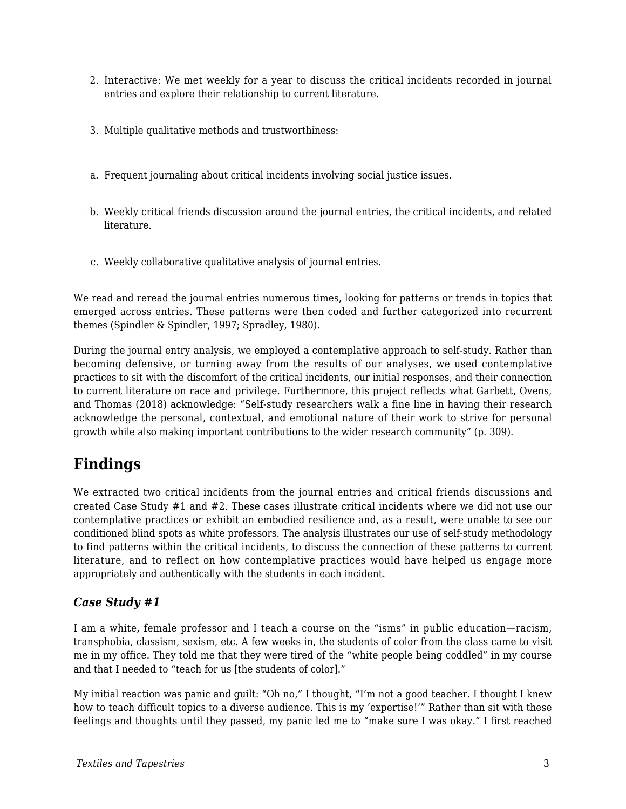- 2. Interactive: We met weekly for a year to discuss the critical incidents recorded in journal entries and explore their relationship to current literature.
- 3. Multiple qualitative methods and trustworthiness:
- a. Frequent journaling about critical incidents involving social justice issues.
- b. Weekly critical friends discussion around the journal entries, the critical incidents, and related literature.
- c. Weekly collaborative qualitative analysis of journal entries.

We read and reread the journal entries numerous times, looking for patterns or trends in topics that emerged across entries. These patterns were then coded and further categorized into recurrent themes (Spindler & Spindler, 1997; Spradley, 1980).

During the journal entry analysis, we employed a contemplative approach to self-study. Rather than becoming defensive, or turning away from the results of our analyses, we used contemplative practices to sit with the discomfort of the critical incidents, our initial responses, and their connection to current literature on race and privilege. Furthermore, this project reflects what Garbett, Ovens, and Thomas (2018) acknowledge: "Self-study researchers walk a fine line in having their research acknowledge the personal, contextual, and emotional nature of their work to strive for personal growth while also making important contributions to the wider research community" (p. 309).

# **Findings**

We extracted two critical incidents from the journal entries and critical friends discussions and created Case Study #1 and #2. These cases illustrate critical incidents where we did not use our contemplative practices or exhibit an embodied resilience and, as a result, were unable to see our conditioned blind spots as white professors. The analysis illustrates our use of self-study methodology to find patterns within the critical incidents, to discuss the connection of these patterns to current literature, and to reflect on how contemplative practices would have helped us engage more appropriately and authentically with the students in each incident.

#### *Case Study #1*

I am a white, female professor and I teach a course on the "isms" in public education—racism, transphobia, classism, sexism, etc. A few weeks in, the students of color from the class came to visit me in my office. They told me that they were tired of the "white people being coddled" in my course and that I needed to "teach for us [the students of color]."

My initial reaction was panic and guilt: "Oh no," I thought, "I'm not a good teacher. I thought I knew how to teach difficult topics to a diverse audience. This is my 'expertise!'" Rather than sit with these feelings and thoughts until they passed, my panic led me to "make sure I was okay." I first reached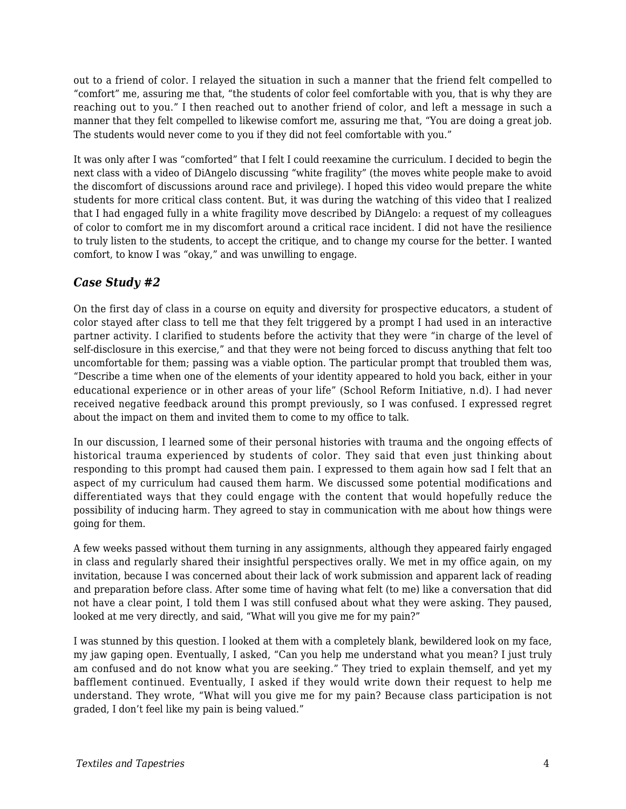out to a friend of color. I relayed the situation in such a manner that the friend felt compelled to "comfort" me, assuring me that, "the students of color feel comfortable with you, that is why they are reaching out to you." I then reached out to another friend of color, and left a message in such a manner that they felt compelled to likewise comfort me, assuring me that, "You are doing a great job. The students would never come to you if they did not feel comfortable with you."

It was only after I was "comforted" that I felt I could reexamine the curriculum. I decided to begin the next class with a video of DiAngelo discussing "white fragility" (the moves white people make to avoid the discomfort of discussions around race and privilege). I hoped this video would prepare the white students for more critical class content. But, it was during the watching of this video that I realized that I had engaged fully in a white fragility move described by DiAngelo: a request of my colleagues of color to comfort me in my discomfort around a critical race incident. I did not have the resilience to truly listen to the students, to accept the critique, and to change my course for the better. I wanted comfort, to know I was "okay," and was unwilling to engage.

#### *Case Study #2*

On the first day of class in a course on equity and diversity for prospective educators, a student of color stayed after class to tell me that they felt triggered by a prompt I had used in an interactive partner activity. I clarified to students before the activity that they were "in charge of the level of self-disclosure in this exercise," and that they were not being forced to discuss anything that felt too uncomfortable for them; passing was a viable option. The particular prompt that troubled them was, "Describe a time when one of the elements of your identity appeared to hold you back, either in your educational experience or in other areas of your life" (School Reform Initiative, n.d). I had never received negative feedback around this prompt previously, so I was confused. I expressed regret about the impact on them and invited them to come to my office to talk.

In our discussion, I learned some of their personal histories with trauma and the ongoing effects of historical trauma experienced by students of color. They said that even just thinking about responding to this prompt had caused them pain. I expressed to them again how sad I felt that an aspect of my curriculum had caused them harm. We discussed some potential modifications and differentiated ways that they could engage with the content that would hopefully reduce the possibility of inducing harm. They agreed to stay in communication with me about how things were going for them.

A few weeks passed without them turning in any assignments, although they appeared fairly engaged in class and regularly shared their insightful perspectives orally. We met in my office again, on my invitation, because I was concerned about their lack of work submission and apparent lack of reading and preparation before class. After some time of having what felt (to me) like a conversation that did not have a clear point, I told them I was still confused about what they were asking. They paused, looked at me very directly, and said, "What will you give me for my pain?"

I was stunned by this question. I looked at them with a completely blank, bewildered look on my face, my jaw gaping open. Eventually, I asked, "Can you help me understand what you mean? I just truly am confused and do not know what you are seeking." They tried to explain themself, and yet my bafflement continued. Eventually, I asked if they would write down their request to help me understand. They wrote, "What will you give me for my pain? Because class participation is not graded, I don't feel like my pain is being valued."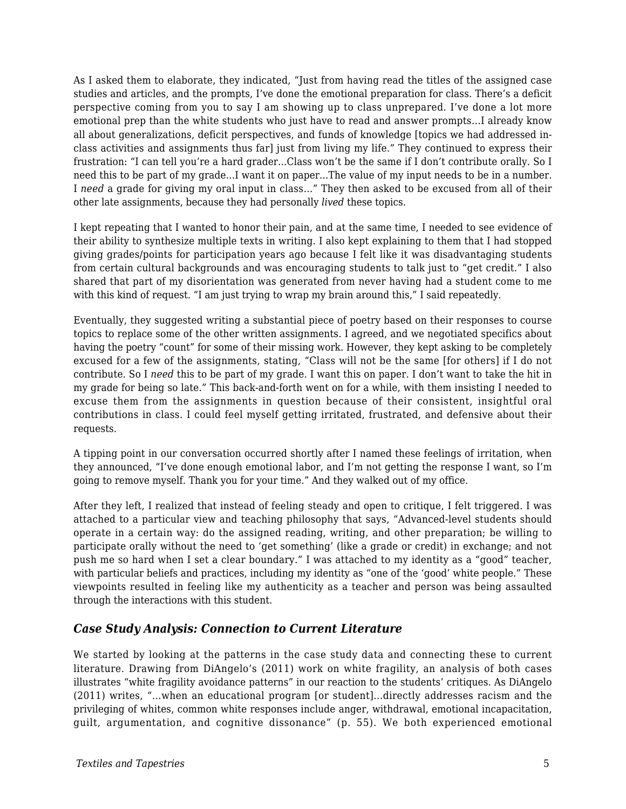As I asked them to elaborate, they indicated, "Just from having read the titles of the assigned case studies and articles, and the prompts, I've done the emotional preparation for class. There's a deficit perspective coming from you to say I am showing up to class unprepared. I've done a lot more emotional prep than the white students who just have to read and answer prompts…I already know all about generalizations, deficit perspectives, and funds of knowledge [topics we had addressed inclass activities and assignments thus far] just from living my life." They continued to express their frustration: "I can tell you're a hard grader...Class won't be the same if I don't contribute orally. So I need this to be part of my grade...I want it on paper...The value of my input needs to be in a number. I *need* a grade for giving my oral input in class…" They then asked to be excused from all of their other late assignments, because they had personally *lived* these topics.

I kept repeating that I wanted to honor their pain, and at the same time, I needed to see evidence of their ability to synthesize multiple texts in writing. I also kept explaining to them that I had stopped giving grades/points for participation years ago because I felt like it was disadvantaging students from certain cultural backgrounds and was encouraging students to talk just to "get credit." I also shared that part of my disorientation was generated from never having had a student come to me with this kind of request. "I am just trying to wrap my brain around this," I said repeatedly.

Eventually, they suggested writing a substantial piece of poetry based on their responses to course topics to replace some of the other written assignments. I agreed, and we negotiated specifics about having the poetry "count" for some of their missing work. However, they kept asking to be completely excused for a few of the assignments, stating, "Class will not be the same [for others] if I do not contribute. So I *need* this to be part of my grade. I want this on paper. I don't want to take the hit in my grade for being so late." This back-and-forth went on for a while, with them insisting I needed to excuse them from the assignments in question because of their consistent, insightful oral contributions in class. I could feel myself getting irritated, frustrated, and defensive about their requests.

A tipping point in our conversation occurred shortly after I named these feelings of irritation, when they announced, "I've done enough emotional labor, and I'm not getting the response I want, so I'm going to remove myself. Thank you for your time." And they walked out of my office.

After they left, I realized that instead of feeling steady and open to critique, I felt triggered. I was attached to a particular view and teaching philosophy that says, "Advanced-level students should operate in a certain way: do the assigned reading, writing, and other preparation; be willing to participate orally without the need to 'get something' (like a grade or credit) in exchange; and not push me so hard when I set a clear boundary." I was attached to my identity as a "good" teacher, with particular beliefs and practices, including my identity as "one of the 'good' white people." These viewpoints resulted in feeling like my authenticity as a teacher and person was being assaulted through the interactions with this student.

#### *Case Study Analysis: Connection to Current Literature*

We started by looking at the patterns in the case study data and connecting these to current literature. Drawing from DiAngelo's (2011) work on white fragility, an analysis of both cases illustrates "white fragility avoidance patterns" in our reaction to the students' critiques. As DiAngelo (2011) writes, "…when an educational program [or student]...directly addresses racism and the privileging of whites, common white responses include anger, withdrawal, emotional incapacitation, guilt, argumentation, and cognitive dissonance" (p. 55). We both experienced emotional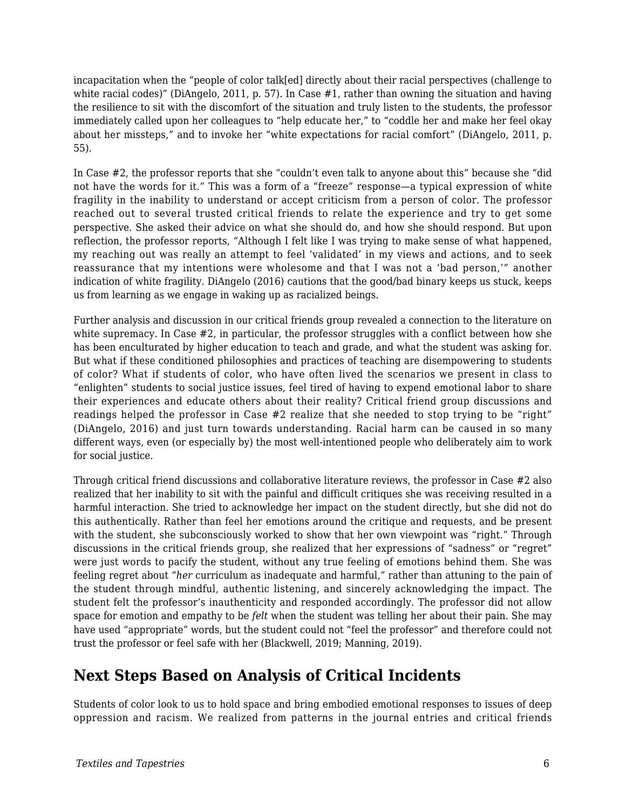incapacitation when the "people of color talk[ed] directly about their racial perspectives (challenge to white racial codes)" (DiAngelo, 2011, p. 57). In Case #1, rather than owning the situation and having the resilience to sit with the discomfort of the situation and truly listen to the students, the professor immediately called upon her colleagues to "help educate her," to "coddle her and make her feel okay about her missteps," and to invoke her "white expectations for racial comfort" (DiAngelo, 2011, p. 55).

In Case #2, the professor reports that she "couldn't even talk to anyone about this" because she "did not have the words for it." This was a form of a "freeze" response—a typical expression of white fragility in the inability to understand or accept criticism from a person of color. The professor reached out to several trusted critical friends to relate the experience and try to get some perspective. She asked their advice on what she should do, and how she should respond. But upon reflection, the professor reports, "Although I felt like I was trying to make sense of what happened, my reaching out was really an attempt to feel 'validated' in my views and actions, and to seek reassurance that my intentions were wholesome and that I was not a 'bad person,'" another indication of white fragility. DiAngelo (2016) cautions that the good/bad binary keeps us stuck, keeps us from learning as we engage in waking up as racialized beings.

Further analysis and discussion in our critical friends group revealed a connection to the literature on white supremacy. In Case #2, in particular, the professor struggles with a conflict between how she has been enculturated by higher education to teach and grade, and what the student was asking for. But what if these conditioned philosophies and practices of teaching are disempowering to students of color? What if students of color, who have often lived the scenarios we present in class to "enlighten" students to social justice issues, feel tired of having to expend emotional labor to share their experiences and educate others about their reality? Critical friend group discussions and readings helped the professor in Case #2 realize that she needed to stop trying to be "right" (DiAngelo, 2016) and just turn towards understanding. Racial harm can be caused in so many different ways, even (or especially by) the most well-intentioned people who deliberately aim to work for social justice.

Through critical friend discussions and collaborative literature reviews, the professor in Case #2 also realized that her inability to sit with the painful and difficult critiques she was receiving resulted in a harmful interaction. She tried to acknowledge her impact on the student directly, but she did not do this authentically. Rather than feel her emotions around the critique and requests, and be present with the student, she subconsciously worked to show that her own viewpoint was "right." Through discussions in the critical friends group, she realized that her expressions of "sadness" or "regret" were just words to pacify the student, without any true feeling of emotions behind them. She was feeling regret about "*her* curriculum as inadequate and harmful," rather than attuning to the pain of the student through mindful, authentic listening, and sincerely acknowledging the impact. The student felt the professor's inauthenticity and responded accordingly. The professor did not allow space for emotion and empathy to be *felt* when the student was telling her about their pain. She may have used "appropriate" words, but the student could not "feel the professor" and therefore could not trust the professor or feel safe with her (Blackwell, 2019; Manning, 2019).

# **Next Steps Based on Analysis of Critical Incidents**

Students of color look to us to hold space and bring embodied emotional responses to issues of deep oppression and racism. We realized from patterns in the journal entries and critical friends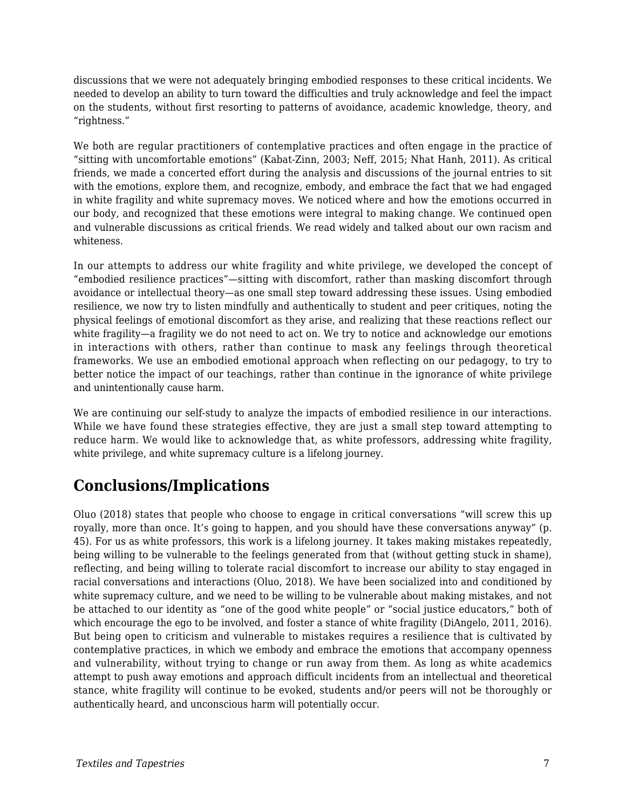discussions that we were not adequately bringing embodied responses to these critical incidents. We needed to develop an ability to turn toward the difficulties and truly acknowledge and feel the impact on the students, without first resorting to patterns of avoidance, academic knowledge, theory, and "rightness."

We both are regular practitioners of contemplative practices and often engage in the practice of "sitting with uncomfortable emotions" (Kabat-Zinn, 2003; Neff, 2015; Nhat Hanh, 2011). As critical friends, we made a concerted effort during the analysis and discussions of the journal entries to sit with the emotions, explore them, and recognize, embody, and embrace the fact that we had engaged in white fragility and white supremacy moves. We noticed where and how the emotions occurred in our body, and recognized that these emotions were integral to making change. We continued open and vulnerable discussions as critical friends. We read widely and talked about our own racism and whiteness.

In our attempts to address our white fragility and white privilege, we developed the concept of "embodied resilience practices"—sitting with discomfort, rather than masking discomfort through avoidance or intellectual theory—as one small step toward addressing these issues. Using embodied resilience, we now try to listen mindfully and authentically to student and peer critiques, noting the physical feelings of emotional discomfort as they arise, and realizing that these reactions reflect our white fragility—a fragility we do not need to act on. We try to notice and acknowledge our emotions in interactions with others, rather than continue to mask any feelings through theoretical frameworks. We use an embodied emotional approach when reflecting on our pedagogy, to try to better notice the impact of our teachings, rather than continue in the ignorance of white privilege and unintentionally cause harm.

We are continuing our self-study to analyze the impacts of embodied resilience in our interactions. While we have found these strategies effective, they are just a small step toward attempting to reduce harm. We would like to acknowledge that, as white professors, addressing white fragility, white privilege, and white supremacy culture is a lifelong journey.

# **Conclusions/Implications**

Oluo (2018) states that people who choose to engage in critical conversations "will screw this up royally, more than once. It's going to happen, and you should have these conversations anyway" (p. 45). For us as white professors, this work is a lifelong journey. It takes making mistakes repeatedly, being willing to be vulnerable to the feelings generated from that (without getting stuck in shame), reflecting, and being willing to tolerate racial discomfort to increase our ability to stay engaged in racial conversations and interactions (Oluo, 2018). We have been socialized into and conditioned by white supremacy culture, and we need to be willing to be vulnerable about making mistakes, and not be attached to our identity as "one of the good white people" or "social justice educators," both of which encourage the ego to be involved, and foster a stance of white fragility (DiAngelo, 2011, 2016). But being open to criticism and vulnerable to mistakes requires a resilience that is cultivated by contemplative practices, in which we embody and embrace the emotions that accompany openness and vulnerability, without trying to change or run away from them. As long as white academics attempt to push away emotions and approach difficult incidents from an intellectual and theoretical stance, white fragility will continue to be evoked, students and/or peers will not be thoroughly or authentically heard, and unconscious harm will potentially occur.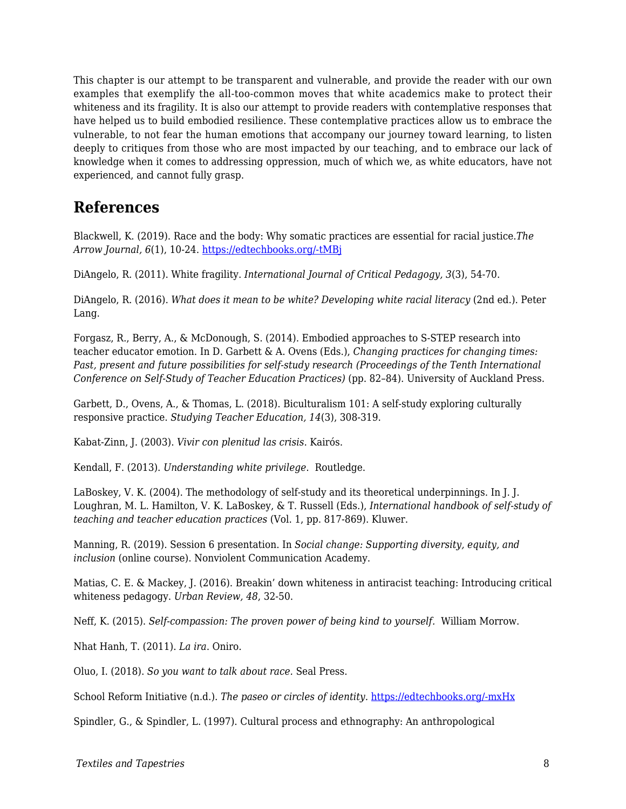This chapter is our attempt to be transparent and vulnerable, and provide the reader with our own examples that exemplify the all-too-common moves that white academics make to protect their whiteness and its fragility. It is also our attempt to provide readers with contemplative responses that have helped us to build embodied resilience. These contemplative practices allow us to embrace the vulnerable, to not fear the human emotions that accompany our journey toward learning, to listen deeply to critiques from those who are most impacted by our teaching, and to embrace our lack of knowledge when it comes to addressing oppression, much of which we, as white educators, have not experienced, and cannot fully grasp.

### **References**

Blackwell, K. (2019). Race and the body: Why somatic practices are essential for racial justice.*The Arrow Journal, 6*(1), 10-24. [https://edtechbooks.org/-tMBj](https://arrow-journal.org/the-necessity-of-including-embodiment-and-lineage-in-racial-justice-work/)

DiAngelo, R. (2011). White fragility. *International Journal of Critical Pedagogy, 3*(3), 54-70.

DiAngelo, R. (2016). *What does it mean to be white? Developing white racial literacy* (2nd ed.). Peter Lang.

Forgasz, R., Berry, A., & McDonough, S. (2014). Embodied approaches to S-STEP research into teacher educator emotion. In D. Garbett & A. Ovens (Eds.), *Changing practices for changing times: Past, present and future possibilities for self-study research (Proceedings of the Tenth International Conference on Self-Study of Teacher Education Practices)* (pp. 82–84). University of Auckland Press.

Garbett, D., Ovens, A., & Thomas, L. (2018). Biculturalism 101: A self-study exploring culturally responsive practice. *Studying Teacher Education, 14*(3), 308-319.

Kabat-Zinn, J. (2003). *Vivir con plenitud las crisis*. Kairós.

Kendall, F. (2013). *Understanding white privilege*. Routledge.

LaBoskey, V. K. (2004). The methodology of self-study and its theoretical underpinnings. In J. J. Loughran, M. L. Hamilton, V. K. LaBoskey, & T. Russell (Eds.), *International handbook of self-study of teaching and teacher education practices* (Vol. 1, pp. 817-869). Kluwer.

Manning, R. (2019). Session 6 presentation. In *Social change: Supporting diversity, equity, and inclusion* (online course). Nonviolent Communication Academy.

Matias, C. E. & Mackey, J. (2016). Breakin' down whiteness in antiracist teaching: Introducing critical whiteness pedagogy. *Urban Review, 48*, 32-50.

Neff, K. (2015). *Self-compassion: The proven power of being kind to yourself.* William Morrow.

Nhat Hanh, T. (2011). *La ira*. Oniro.

Oluo, I. (2018). *So you want to talk about race.* Seal Press.

School Reform Initiative (n.d.). *The paseo or circles of identity.* [https://edtechbooks.org/-mxHx](https://schoolreforminitiative.org/doc/paseo.pdf)

Spindler, G., & Spindler, L. (1997). Cultural process and ethnography: An anthropological